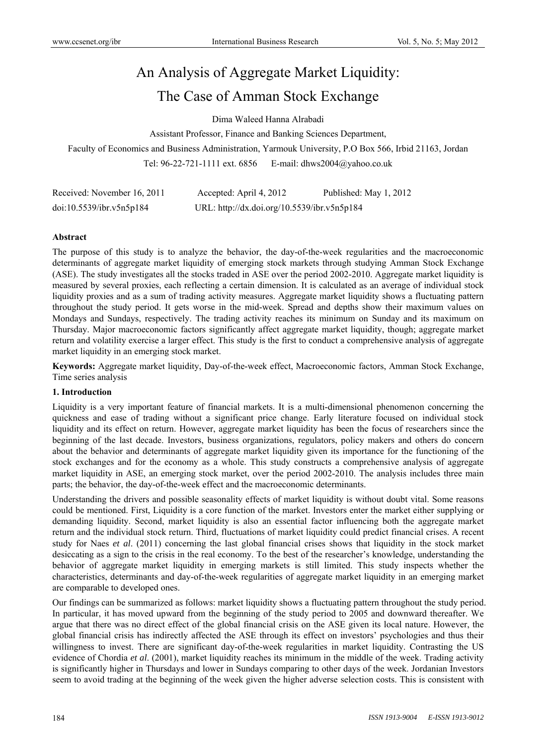# An Analysis of Aggregate Market Liquidity: The Case of Amman Stock Exchange

Dima Waleed Hanna Alrabadi

Assistant Professor, Finance and Banking Sciences Department,

Faculty of Economics and Business Administration, Yarmouk University, P.O Box 566, Irbid 21163, Jordan Tel: 96-22-721-1111 ext. 6856 E-mail: dhws2004@yahoo.co.uk

| Received: November 16, 2011 | Accepted: April 4, 2012                     | Published: May 1, 2012 |
|-----------------------------|---------------------------------------------|------------------------|
| doi:10.5539/ibr.v5n5p184    | URL: http://dx.doi.org/10.5539/ibr.v5n5p184 |                        |

# **Abstract**

The purpose of this study is to analyze the behavior, the day-of-the-week regularities and the macroeconomic determinants of aggregate market liquidity of emerging stock markets through studying Amman Stock Exchange (ASE). The study investigates all the stocks traded in ASE over the period 2002-2010. Aggregate market liquidity is measured by several proxies, each reflecting a certain dimension. It is calculated as an average of individual stock liquidity proxies and as a sum of trading activity measures. Aggregate market liquidity shows a fluctuating pattern throughout the study period. It gets worse in the mid-week. Spread and depths show their maximum values on Mondays and Sundays, respectively. The trading activity reaches its minimum on Sunday and its maximum on Thursday. Major macroeconomic factors significantly affect aggregate market liquidity, though; aggregate market return and volatility exercise a larger effect. This study is the first to conduct a comprehensive analysis of aggregate market liquidity in an emerging stock market.

**Keywords:** Aggregate market liquidity, Day-of-the-week effect, Macroeconomic factors, Amman Stock Exchange, Time series analysis

## **1. Introduction**

Liquidity is a very important feature of financial markets. It is a multi-dimensional phenomenon concerning the quickness and ease of trading without a significant price change. Early literature focused on individual stock liquidity and its effect on return. However, aggregate market liquidity has been the focus of researchers since the beginning of the last decade. Investors, business organizations, regulators, policy makers and others do concern about the behavior and determinants of aggregate market liquidity given its importance for the functioning of the stock exchanges and for the economy as a whole. This study constructs a comprehensive analysis of aggregate market liquidity in ASE, an emerging stock market, over the period 2002-2010. The analysis includes three main parts; the behavior, the day-of-the-week effect and the macroeconomic determinants.

Understanding the drivers and possible seasonality effects of market liquidity is without doubt vital. Some reasons could be mentioned. First, Liquidity is a core function of the market. Investors enter the market either supplying or demanding liquidity. Second, market liquidity is also an essential factor influencing both the aggregate market return and the individual stock return. Third, fluctuations of market liquidity could predict financial crises. A recent study for Naes *et al*. (2011) concerning the last global financial crises shows that liquidity in the stock market desiccating as a sign to the crisis in the real economy. To the best of the researcher's knowledge, understanding the behavior of aggregate market liquidity in emerging markets is still limited. This study inspects whether the characteristics, determinants and day-of-the-week regularities of aggregate market liquidity in an emerging market are comparable to developed ones.

Our findings can be summarized as follows: market liquidity shows a fluctuating pattern throughout the study period. In particular, it has moved upward from the beginning of the study period to 2005 and downward thereafter. We argue that there was no direct effect of the global financial crisis on the ASE given its local nature. However, the global financial crisis has indirectly affected the ASE through its effect on investors' psychologies and thus their willingness to invest. There are significant day-of-the-week regularities in market liquidity. Contrasting the US evidence of Chordia *et al*. (2001), market liquidity reaches its minimum in the middle of the week. Trading activity is significantly higher in Thursdays and lower in Sundays comparing to other days of the week. Jordanian Investors seem to avoid trading at the beginning of the week given the higher adverse selection costs. This is consistent with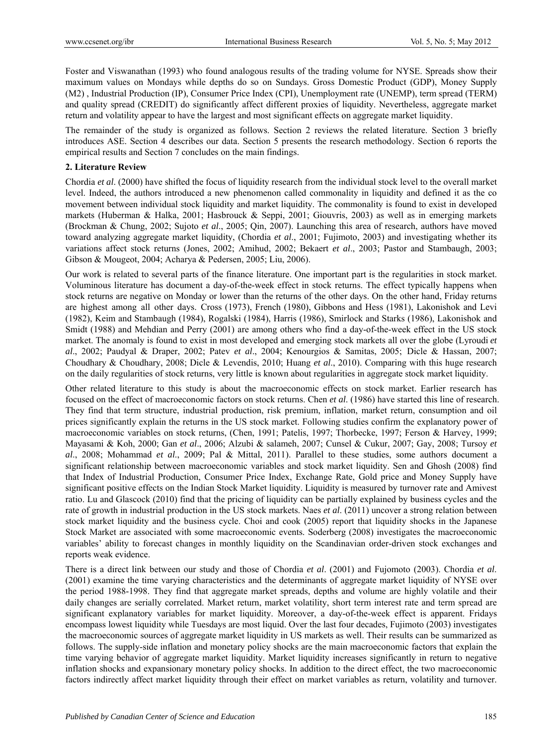Foster and Viswanathan (1993) who found analogous results of the trading volume for NYSE. Spreads show their maximum values on Mondays while depths do so on Sundays. Gross Domestic Product (GDP), Money Supply (M2) , Industrial Production (IP), Consumer Price Index (CPI), Unemployment rate (UNEMP), term spread (TERM) and quality spread (CREDIT) do significantly affect different proxies of liquidity. Nevertheless, aggregate market return and volatility appear to have the largest and most significant effects on aggregate market liquidity.

The remainder of the study is organized as follows. Section 2 reviews the related literature. Section 3 briefly introduces ASE. Section 4 describes our data. Section 5 presents the research methodology. Section 6 reports the empirical results and Section 7 concludes on the main findings.

# **2. Literature Review**

Chordia *et al*. (2000) have shifted the focus of liquidity research from the individual stock level to the overall market level. Indeed, the authors introduced a new phenomenon called commonality in liquidity and defined it as the co movement between individual stock liquidity and market liquidity. The commonality is found to exist in developed markets (Huberman & Halka, 2001; Hasbrouck & Seppi, 2001; Giouvris, 2003) as well as in emerging markets (Brockman & Chung, 2002; Sujoto *et al*., 2005; Qin, 2007). Launching this area of research, authors have moved toward analyzing aggregate market liquidity, (Chordia *et al*., 2001; Fujimoto, 2003) and investigating whether its variations affect stock returns (Jones, 2002; Amihud, 2002; Bekaert *et al*., 2003; Pastor and Stambaugh, 2003; Gibson & Mougeot, 2004; Acharya & Pedersen, 2005; Liu, 2006).

Our work is related to several parts of the finance literature. One important part is the regularities in stock market. Voluminous literature has document a day-of-the-week effect in stock returns. The effect typically happens when stock returns are negative on Monday or lower than the returns of the other days. On the other hand, Friday returns are highest among all other days. Cross (1973), French (1980), Gibbons and Hess (1981), Lakonishok and Levi (1982), Keim and Stambaugh (1984), Rogalski (1984), Harris (1986), Smirlock and Starks (1986), Lakonishok and Smidt (1988) and Mehdian and Perry (2001) are among others who find a day-of-the-week effect in the US stock market. The anomaly is found to exist in most developed and emerging stock markets all over the globe (Lyroudi *et al*., 2002; Paudyal & Draper, 2002; Patev *et al*., 2004; Kenourgios & Samitas, 2005; Dicle & Hassan, 2007; Choudhary & Choudhary, 2008; Dicle & Levendis, 2010; Huang *et al*., 2010). Comparing with this huge research on the daily regularities of stock returns, very little is known about regularities in aggregate stock market liquidity.

Other related literature to this study is about the macroeconomic effects on stock market. Earlier research has focused on the effect of macroeconomic factors on stock returns. Chen *et al*. (1986) have started this line of research. They find that term structure, industrial production, risk premium, inflation, market return, consumption and oil prices significantly explain the returns in the US stock market. Following studies confirm the explanatory power of macroeconomic variables on stock returns, (Chen, 1991; Patelis, 1997; Thorbecke, 1997; Ferson & Harvey, 1999; Mayasami & Koh, 2000; Gan *et al*., 2006; Alzubi & salameh, 2007; Cunsel & Cukur, 2007; Gay, 2008; Tursoy *et al*., 2008; Mohammad *et al*., 2009; Pal & Mittal, 2011). Parallel to these studies, some authors document a significant relationship between macroeconomic variables and stock market liquidity. Sen and Ghosh (2008) find that Index of Industrial Production, Consumer Price Index, Exchange Rate, Gold price and Money Supply have significant positive effects on the Indian Stock Market liquidity. Liquidity is measured by turnover rate and Amivest ratio. Lu and Glascock (2010) find that the pricing of liquidity can be partially explained by business cycles and the rate of growth in industrial production in the US stock markets. Naes *et al*. (2011) uncover a strong relation between stock market liquidity and the business cycle. Choi and cook (2005) report that liquidity shocks in the Japanese Stock Market are associated with some macroeconomic events. Soderberg (2008) investigates the macroeconomic variables' ability to forecast changes in monthly liquidity on the Scandinavian order-driven stock exchanges and reports weak evidence.

There is a direct link between our study and those of Chordia *et al*. (2001) and Fujomoto (2003). Chordia *et al*. (2001) examine the time varying characteristics and the determinants of aggregate market liquidity of NYSE over the period 1988-1998. They find that aggregate market spreads, depths and volume are highly volatile and their daily changes are serially correlated. Market return, market volatility, short term interest rate and term spread are significant explanatory variables for market liquidity. Moreover, a day-of-the-week effect is apparent. Fridays encompass lowest liquidity while Tuesdays are most liquid. Over the last four decades, Fujimoto (2003) investigates the macroeconomic sources of aggregate market liquidity in US markets as well. Their results can be summarized as follows. The supply-side inflation and monetary policy shocks are the main macroeconomic factors that explain the time varying behavior of aggregate market liquidity. Market liquidity increases significantly in return to negative inflation shocks and expansionary monetary policy shocks. In addition to the direct effect, the two macroeconomic factors indirectly affect market liquidity through their effect on market variables as return, volatility and turnover.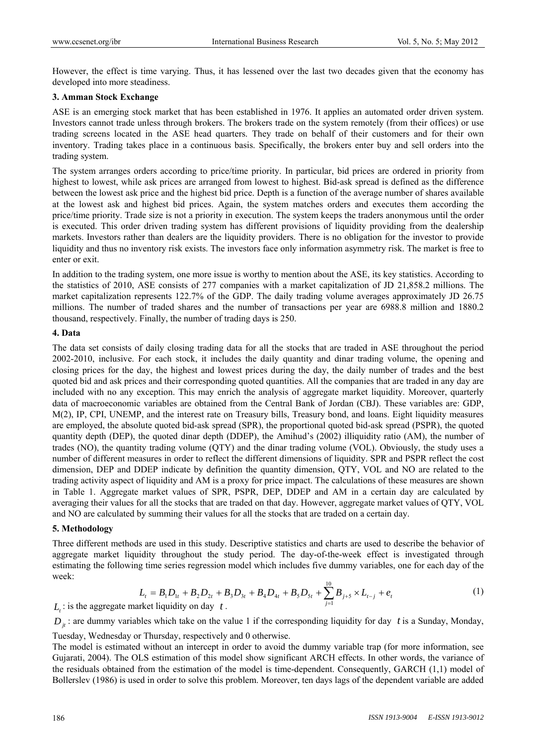However, the effect is time varying. Thus, it has lessened over the last two decades given that the economy has developed into more steadiness.

## **3. Amman Stock Exchange**

ASE is an emerging stock market that has been established in 1976. It applies an automated order driven system. Investors cannot trade unless through brokers. The brokers trade on the system remotely (from their offices) or use trading screens located in the ASE head quarters. They trade on behalf of their customers and for their own inventory. Trading takes place in a continuous basis. Specifically, the brokers enter buy and sell orders into the trading system.

The system arranges orders according to price/time priority. In particular, bid prices are ordered in priority from highest to lowest, while ask prices are arranged from lowest to highest. Bid-ask spread is defined as the difference between the lowest ask price and the highest bid price. Depth is a function of the average number of shares available at the lowest ask and highest bid prices. Again, the system matches orders and executes them according the price/time priority. Trade size is not a priority in execution. The system keeps the traders anonymous until the order is executed. This order driven trading system has different provisions of liquidity providing from the dealership markets. Investors rather than dealers are the liquidity providers. There is no obligation for the investor to provide liquidity and thus no inventory risk exists. The investors face only information asymmetry risk. The market is free to enter or exit.

In addition to the trading system, one more issue is worthy to mention about the ASE, its key statistics. According to the statistics of 2010, ASE consists of 277 companies with a market capitalization of JD 21,858.2 millions. The market capitalization represents 122.7% of the GDP. The daily trading volume averages approximately JD 26.75 millions. The number of traded shares and the number of transactions per year are 6988.8 million and 1880.2 thousand, respectively. Finally, the number of trading days is 250.

### **4. Data**

The data set consists of daily closing trading data for all the stocks that are traded in ASE throughout the period 2002-2010, inclusive. For each stock, it includes the daily quantity and dinar trading volume, the opening and closing prices for the day, the highest and lowest prices during the day, the daily number of trades and the best quoted bid and ask prices and their corresponding quoted quantities. All the companies that are traded in any day are included with no any exception. This may enrich the analysis of aggregate market liquidity. Moreover, quarterly data of macroeconomic variables are obtained from the Central Bank of Jordan (CBJ). These variables are: GDP, M(2), IP, CPI, UNEMP, and the interest rate on Treasury bills, Treasury bond, and loans. Eight liquidity measures are employed, the absolute quoted bid-ask spread (SPR), the proportional quoted bid-ask spread (PSPR), the quoted quantity depth (DEP), the quoted dinar depth (DDEP), the Amihud's (2002) illiquidity ratio (AM), the number of trades (NO), the quantity trading volume (QTY) and the dinar trading volume (VOL). Obviously, the study uses a number of different measures in order to reflect the different dimensions of liquidity. SPR and PSPR reflect the cost dimension, DEP and DDEP indicate by definition the quantity dimension, QTY, VOL and NO are related to the trading activity aspect of liquidity and AM is a proxy for price impact. The calculations of these measures are shown in Table 1. Aggregate market values of SPR, PSPR, DEP, DDEP and AM in a certain day are calculated by averaging their values for all the stocks that are traded on that day. However, aggregate market values of QTY, VOL and NO are calculated by summing their values for all the stocks that are traded on a certain day.

# **5. Methodology**

Three different methods are used in this study. Descriptive statistics and charts are used to describe the behavior of aggregate market liquidity throughout the study period. The day-of-the-week effect is investigated through estimating the following time series regression model which includes five dummy variables, one for each day of the week:

$$
L_{t} = B_{1}D_{1t} + B_{2}D_{2t} + B_{3}D_{3t} + B_{4}D_{4t} + B_{5}D_{5t} + \sum_{j=1}^{10} B_{j+5} \times L_{t-j} + e_{t}
$$
\n(1)

 $L_t$ : is the aggregate market liquidity on day  $t$ .

 $D_{\mu}$ : are dummy variables which take on the value 1 if the corresponding liquidity for day *t* is a Sunday, Monday, Tuesday, Wednesday or Thursday, respectively and 0 otherwise.

The model is estimated without an intercept in order to avoid the dummy variable trap (for more information, see Gujarati, 2004). The OLS estimation of this model show significant ARCH effects. In other words, the variance of the residuals obtained from the estimation of the model is time-dependent. Consequently, GARCH (1,1) model of Bollerslev (1986) is used in order to solve this problem. Moreover, ten days lags of the dependent variable are added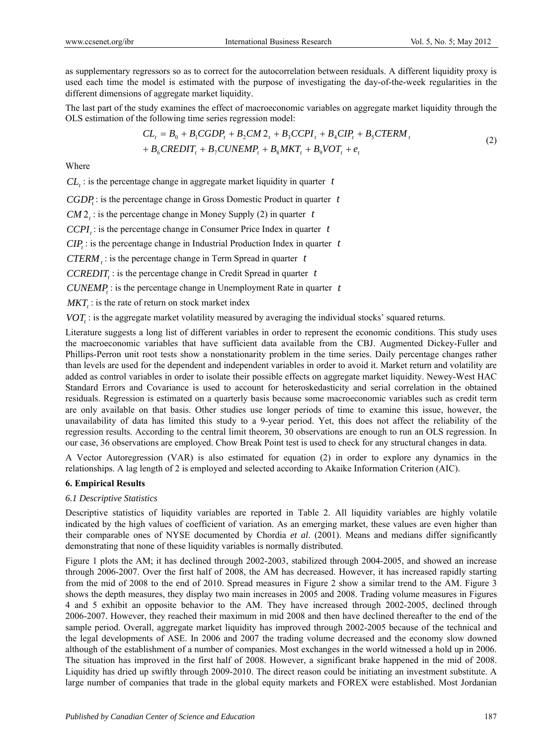as supplementary regressors so as to correct for the autocorrelation between residuals. A different liquidity proxy is used each time the model is estimated with the purpose of investigating the day-of-the-week regularities in the different dimensions of aggregate market liquidity.

The last part of the study examines the effect of macroeconomic variables on aggregate market liquidity through the OLS estimation of the following time series regression model:

$$
CLt = B0 + B1CGDPt + B2CM2t + B3CCPIt + B4CIPt + B5CTERMt
$$
  
+ B<sub>6</sub>CREDIT<sub>t</sub> + B<sub>7</sub>CUNEMP<sub>t</sub> + B<sub>8</sub>MKT<sub>t</sub> + B<sub>9</sub>VOT<sub>t</sub> + e<sub>t</sub> (2)

Where

 $CL<sub>t</sub>$  : is the percentage change in aggregate market liquidity in quarter *t* 

*CGDP*<sub>:</sub>: is the percentage change in Gross Domestic Product in quarter *t* 

*CM*  $2$ , : is the percentage change in Money Supply (2) in quarter *t* 

 $CCPI$ : is the percentage change in Consumer Price Index in quarter *t* 

 $CIP$ : is the percentage change in Industrial Production Index in quarter *t* 

*CTERM*, : is the percentage change in Term Spread in quarter  $t$ 

 $CCREDIT$ : is the percentage change in Credit Spread in quarter *t* 

*CUNEMP*<sub> $i$ </sub> : is the percentage change in Unemployment Rate in quarter *t* 

 $MKT$ , : is the rate of return on stock market index

*VOT*: is the aggregate market volatility measured by averaging the individual stocks' squared returns.

Literature suggests a long list of different variables in order to represent the economic conditions. This study uses the macroeconomic variables that have sufficient data available from the CBJ. Augmented Dickey-Fuller and Phillips-Perron unit root tests show a nonstationarity problem in the time series. Daily percentage changes rather than levels are used for the dependent and independent variables in order to avoid it. Market return and volatility are added as control variables in order to isolate their possible effects on aggregate market liquidity. Newey-West HAC Standard Errors and Covariance is used to account for heteroskedasticity and serial correlation in the obtained residuals. Regression is estimated on a quarterly basis because some macroeconomic variables such as credit term are only available on that basis. Other studies use longer periods of time to examine this issue, however, the unavailability of data has limited this study to a 9-year period. Yet, this does not affect the reliability of the regression results. According to the central limit theorem, 30 observations are enough to run an OLS regression. In our case, 36 observations are employed. Chow Break Point test is used to check for any structural changes in data.

A Vector Autoregression (VAR) is also estimated for equation (2) in order to explore any dynamics in the relationships. A lag length of 2 is employed and selected according to Akaike Information Criterion (AIC).

## **6. Empirical Results**

#### *6.1 Descriptive Statistics*

Descriptive statistics of liquidity variables are reported in Table 2. All liquidity variables are highly volatile indicated by the high values of coefficient of variation. As an emerging market, these values are even higher than their comparable ones of NYSE documented by Chordia *et al*. (2001). Means and medians differ significantly demonstrating that none of these liquidity variables is normally distributed.

Figure 1 plots the AM; it has declined through 2002-2003, stabilized through 2004-2005, and showed an increase through 2006-2007. Over the first half of 2008, the AM has decreased. However, it has increased rapidly starting from the mid of 2008 to the end of 2010. Spread measures in Figure 2 show a similar trend to the AM. Figure 3 shows the depth measures, they display two main increases in 2005 and 2008. Trading volume measures in Figures 4 and 5 exhibit an opposite behavior to the AM. They have increased through 2002-2005, declined through 2006-2007. However, they reached their maximum in mid 2008 and then have declined thereafter to the end of the sample period. Overall, aggregate market liquidity has improved through 2002-2005 because of the technical and the legal developments of ASE. In 2006 and 2007 the trading volume decreased and the economy slow downed although of the establishment of a number of companies. Most exchanges in the world witnessed a hold up in 2006. The situation has improved in the first half of 2008. However, a significant brake happened in the mid of 2008. Liquidity has dried up swiftly through 2009-2010. The direct reason could be initiating an investment substitute. A large number of companies that trade in the global equity markets and FOREX were established. Most Jordanian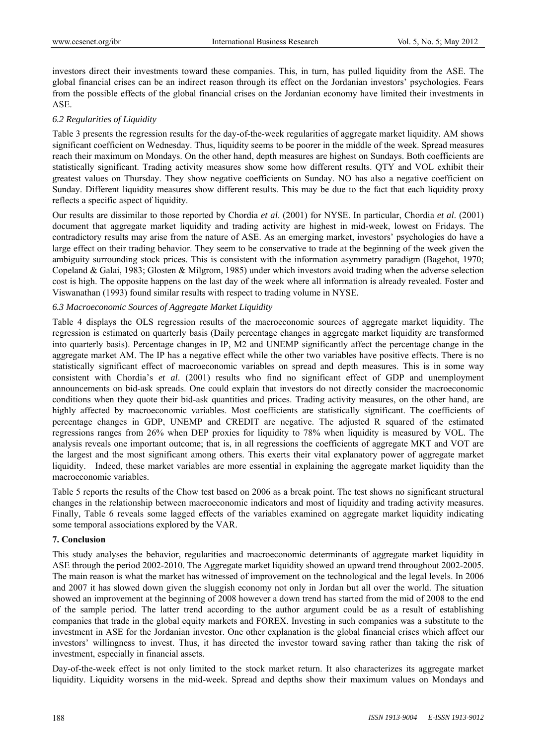investors direct their investments toward these companies. This, in turn, has pulled liquidity from the ASE. The global financial crises can be an indirect reason through its effect on the Jordanian investors' psychologies. Fears from the possible effects of the global financial crises on the Jordanian economy have limited their investments in ASE.

## *6.2 Regularities of Liquidity*

Table 3 presents the regression results for the day-of-the-week regularities of aggregate market liquidity. AM shows significant coefficient on Wednesday. Thus, liquidity seems to be poorer in the middle of the week. Spread measures reach their maximum on Mondays. On the other hand, depth measures are highest on Sundays. Both coefficients are statistically significant. Trading activity measures show some how different results. QTY and VOL exhibit their greatest values on Thursday. They show negative coefficients on Sunday. NO has also a negative coefficient on Sunday. Different liquidity measures show different results. This may be due to the fact that each liquidity proxy reflects a specific aspect of liquidity.

Our results are dissimilar to those reported by Chordia *et al*. (2001) for NYSE. In particular, Chordia *et al*. (2001) document that aggregate market liquidity and trading activity are highest in mid-week, lowest on Fridays. The contradictory results may arise from the nature of ASE. As an emerging market, investors' psychologies do have a large effect on their trading behavior. They seem to be conservative to trade at the beginning of the week given the ambiguity surrounding stock prices. This is consistent with the information asymmetry paradigm (Bagehot, 1970; Copeland & Galai, 1983; Glosten & Milgrom, 1985) under which investors avoid trading when the adverse selection cost is high. The opposite happens on the last day of the week where all information is already revealed. Foster and Viswanathan (1993) found similar results with respect to trading volume in NYSE.

## *6.3 Macroeconomic Sources of Aggregate Market Liquidity*

Table 4 displays the OLS regression results of the macroeconomic sources of aggregate market liquidity. The regression is estimated on quarterly basis (Daily percentage changes in aggregate market liquidity are transformed into quarterly basis). Percentage changes in IP, M2 and UNEMP significantly affect the percentage change in the aggregate market AM. The IP has a negative effect while the other two variables have positive effects. There is no statistically significant effect of macroeconomic variables on spread and depth measures. This is in some way consistent with Chordia's *et al*. (2001) results who find no significant effect of GDP and unemployment announcements on bid-ask spreads. One could explain that investors do not directly consider the macroeconomic conditions when they quote their bid-ask quantities and prices. Trading activity measures, on the other hand, are highly affected by macroeconomic variables. Most coefficients are statistically significant. The coefficients of percentage changes in GDP, UNEMP and CREDIT are negative. The adjusted R squared of the estimated regressions ranges from 26% when DEP proxies for liquidity to 78% when liquidity is measured by VOL. The analysis reveals one important outcome; that is, in all regressions the coefficients of aggregate MKT and VOT are the largest and the most significant among others. This exerts their vital explanatory power of aggregate market liquidity. Indeed, these market variables are more essential in explaining the aggregate market liquidity than the macroeconomic variables.

Table 5 reports the results of the Chow test based on 2006 as a break point. The test shows no significant structural changes in the relationship between macroeconomic indicators and most of liquidity and trading activity measures. Finally, Table 6 reveals some lagged effects of the variables examined on aggregate market liquidity indicating some temporal associations explored by the VAR.

## **7. Conclusion**

This study analyses the behavior, regularities and macroeconomic determinants of aggregate market liquidity in ASE through the period 2002-2010. The Aggregate market liquidity showed an upward trend throughout 2002-2005. The main reason is what the market has witnessed of improvement on the technological and the legal levels. In 2006 and 2007 it has slowed down given the sluggish economy not only in Jordan but all over the world. The situation showed an improvement at the beginning of 2008 however a down trend has started from the mid of 2008 to the end of the sample period. The latter trend according to the author argument could be as a result of establishing companies that trade in the global equity markets and FOREX. Investing in such companies was a substitute to the investment in ASE for the Jordanian investor. One other explanation is the global financial crises which affect our investors' willingness to invest. Thus, it has directed the investor toward saving rather than taking the risk of investment, especially in financial assets.

Day-of-the-week effect is not only limited to the stock market return. It also characterizes its aggregate market liquidity. Liquidity worsens in the mid-week. Spread and depths show their maximum values on Mondays and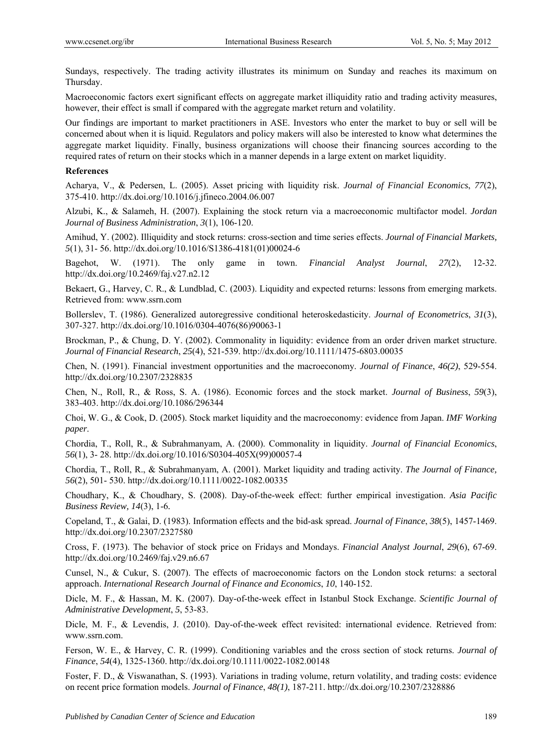Sundays, respectively. The trading activity illustrates its minimum on Sunday and reaches its maximum on Thursday.

Macroeconomic factors exert significant effects on aggregate market illiquidity ratio and trading activity measures, however, their effect is small if compared with the aggregate market return and volatility.

Our findings are important to market practitioners in ASE. Investors who enter the market to buy or sell will be concerned about when it is liquid. Regulators and policy makers will also be interested to know what determines the aggregate market liquidity. Finally, business organizations will choose their financing sources according to the required rates of return on their stocks which in a manner depends in a large extent on market liquidity.

# **References**

Acharya, V., & Pedersen, L. (2005). Asset pricing with liquidity risk. *Journal of Financial Economics*, *77*(2), 375-410. http://dx.doi.org/10.1016/j.jfineco.2004.06.007

Alzubi, K., & Salameh, H. (2007). Explaining the stock return via a macroeconomic multifactor model. *Jordan Journal of Business Administration*, *3*(1), 106-120.

Amihud, Y. (2002). Illiquidity and stock returns: cross-section and time series effects. *Journal of Financial Markets, 5*(1), 31- 56. http://dx.doi.org/10.1016/S1386-4181(01)00024-6

Bagehot, W. (1971). The only game in town. *Financial Analyst Journal*, *27*(2), 12-32. http://dx.doi.org/10.2469/faj.v27.n2.12

Bekaert, G., Harvey, C. R., & Lundblad, C. (2003). Liquidity and expected returns: lessons from emerging markets. Retrieved from: www.ssrn.com

Bollerslev, T. (1986). Generalized autoregressive conditional heteroskedasticity. *Journal of Econometrics*, *31*(3), 307-327. http://dx.doi.org/10.1016/0304-4076(86)90063-1

Brockman, P., & Chung, D. Y. (2002). Commonality in liquidity: evidence from an order driven market structure. *Journal of Financial Research*, *25*(4), 521-539. http://dx.doi.org/10.1111/1475-6803.00035

Chen, N. (1991). Financial investment opportunities and the macroeconomy. *Journal of Finance*, *46(2)*, 529-554. http://dx.doi.org/10.2307/2328835

Chen, N., Roll, R., & Ross, S. A. (1986). Economic forces and the stock market. *Journal of Business*, *59*(3), 383-403. http://dx.doi.org/10.1086/296344

Choi, W. G., & Cook, D. (2005). Stock market liquidity and the macroeconomy: evidence from Japan. *IMF Working paper*.

Chordia, T., Roll, R., & Subrahmanyam, A. (2000). Commonality in liquidity. *Journal of Financial Economics*, *56*(1), 3- 28. http://dx.doi.org/10.1016/S0304-405X(99)00057-4

Chordia, T., Roll, R., & Subrahmanyam, A. (2001). Market liquidity and trading activity. *The Journal of Finance, 56*(2), 501- 530. http://dx.doi.org/10.1111/0022-1082.00335

Choudhary, K., & Choudhary, S. (2008). Day-of-the-week effect: further empirical investigation. *Asia Pacific Business Review, 14*(3), 1-6*.*

Copeland, T., & Galai, D. (1983). Information effects and the bid-ask spread. *Journal of Finance*, *38*(5), 1457-1469. http://dx.doi.org/10.2307/2327580

Cross, F. (1973). The behavior of stock price on Fridays and Mondays. *Financial Analyst Journal*, *29*(6), 67-69. http://dx.doi.org/10.2469/faj.v29.n6.67

Cunsel, N., & Cukur, S. (2007). The effects of macroeconomic factors on the London stock returns: a sectoral approach. *International Research Journal of Finance and Economics*, *10*, 140-152.

Dicle, M. F., & Hassan, M. K. (2007). Day-of-the-week effect in Istanbul Stock Exchange. *Scientific Journal of Administrative Development*, *5*, 53-83.

Dicle, M. F., & Levendis, J. (2010). Day-of-the-week effect revisited: international evidence. Retrieved from: www.ssrn.com.

Ferson, W. E., & Harvey, C. R. (1999). Conditioning variables and the cross section of stock returns. *Journal of Finance*, *54*(4), 1325-1360. http://dx.doi.org/10.1111/0022-1082.00148

Foster, F. D., & Viswanathan, S. (1993). Variations in trading volume, return volatility, and trading costs: evidence on recent price formation models. *Journal of Finance*, *48(1)*, 187-211. http://dx.doi.org/10.2307/2328886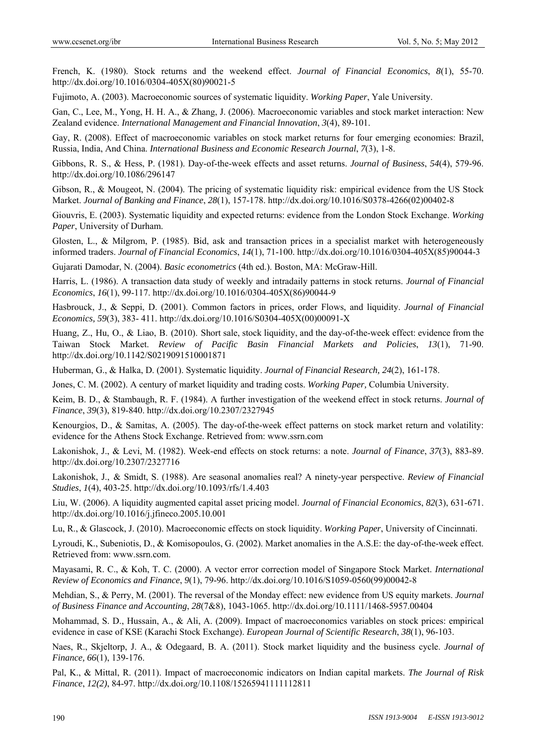French, K. (1980). Stock returns and the weekend effect. *Journal of Financial Economics*, *8*(1), 55-70. http://dx.doi.org/10.1016/0304-405X(80)90021-5

Fujimoto, A. (2003). Macroeconomic sources of systematic liquidity. *Working Paper*, Yale University.

Gan, C., Lee, M., Yong, H. H. A., & Zhang, J. (2006). Macroeconomic variables and stock market interaction: New Zealand evidence. *International Management and Financial Innovation*, *3*(4), 89-101.

Gay, R. (2008). Effect of macroeconomic variables on stock market returns for four emerging economies: Brazil, Russia, India, And China. *International Business and Economic Research Journal*, *7*(3), 1-8.

Gibbons, R. S., & Hess, P. (1981). Day-of-the-week effects and asset returns. *Journal of Business*, *54*(4), 579-96. http://dx.doi.org/10.1086/296147

Gibson, R., & Mougeot, N. (2004). The pricing of systematic liquidity risk: empirical evidence from the US Stock Market. *Journal of Banking and Finance*, *28*(1), 157-178. http://dx.doi.org/10.1016/S0378-4266(02)00402-8

Giouvris, E. (2003). Systematic liquidity and expected returns: evidence from the London Stock Exchange. *Working Paper*, University of Durham.

Glosten, L., & Milgrom, P. (1985). Bid, ask and transaction prices in a specialist market with heterogeneously informed traders. *Journal of Financial Economics*, *14*(1), 71-100. http://dx.doi.org/10.1016/0304-405X(85)90044-3

Gujarati Damodar, N. (2004). *Basic econometrics* (4th ed.). Boston, MA: McGraw-Hill.

Harris, L. (1986). A transaction data study of weekly and intradaily patterns in stock returns. *Journal of Financial Economics*, *16*(1), 99-117. http://dx.doi.org/10.1016/0304-405X(86)90044-9

Hasbrouck, J., & Seppi, D. (2001). Common factors in prices, order Flows, and liquidity. *Journal of Financial Economics, 59*(3), 383- 411. http://dx.doi.org/10.1016/S0304-405X(00)00091-X

Huang, Z., Hu, O., & Liao, B. (2010). Short sale, stock liquidity, and the day-of-the-week effect: evidence from the Taiwan Stock Market. *Review of Pacific Basin Financial Markets and Policies*, *13*(1), 71-90. http://dx.doi.org/10.1142/S0219091510001871

Huberman, G., & Halka, D. (2001). Systematic liquidity. *Journal of Financial Research, 24*(2), 161-178.

Jones, C. M. (2002). A century of market liquidity and trading costs. *Working Paper,* Columbia University.

Keim, B. D., & Stambaugh, R. F. (1984). A further investigation of the weekend effect in stock returns. *Journal of Finance*, *39*(3), 819-840. http://dx.doi.org/10.2307/2327945

Kenourgios, D., & Samitas, A. (2005). The day-of-the-week effect patterns on stock market return and volatility: evidence for the Athens Stock Exchange. Retrieved from: www.ssrn.com

Lakonishok, J., & Levi, M. (1982). Week-end effects on stock returns: a note. *Journal of Finance*, *37*(3), 883-89. http://dx.doi.org/10.2307/2327716

Lakonishok, J., & Smidt, S. (1988). Are seasonal anomalies real? A ninety-year perspective. *Review of Financial Studies*, *1*(4), 403-25. http://dx.doi.org/10.1093/rfs/1.4.403

Liu, W. (2006). A liquidity augmented capital asset pricing model. *Journal of Financial Economics*, *82*(3), 631-671. http://dx.doi.org/10.1016/j.jfineco.2005.10.001

Lu, R., & Glascock, J. (2010). Macroeconomic effects on stock liquidity. *Working Paper*, University of Cincinnati.

Lyroudi, K., Subeniotis, D., & Komisopoulos, G. (2002). Market anomalies in the A.S.E: the day-of-the-week effect. Retrieved from: www.ssrn.com.

Mayasami, R. C., & Koh, T. C. (2000). A vector error correction model of Singapore Stock Market. *International Review of Economics and Finance*, *9*(1), 79-96. http://dx.doi.org/10.1016/S1059-0560(99)00042-8

Mehdian, S., & Perry, M. (2001). The reversal of the Monday effect: new evidence from US equity markets. *Journal of Business Finance and Accounting*, *28*(7&8), 1043-1065. http://dx.doi.org/10.1111/1468-5957.00404

Mohammad, S. D., Hussain, A., & Ali, A. (2009). Impact of macroeconomics variables on stock prices: empirical evidence in case of KSE (Karachi Stock Exchange). *European Journal of Scientific Research*, *38*(1), 96-103.

Naes, R., Skjeltorp, J. A., & Odegaard, B. A. (2011). Stock market liquidity and the business cycle. *Journal of Finance, 66*(1), 139-176.

Pal, K., & Mittal, R. (2011). Impact of macroeconomic indicators on Indian capital markets. *The Journal of Risk Finance*, *12(2)*, 84-97. http://dx.doi.org/10.1108/15265941111112811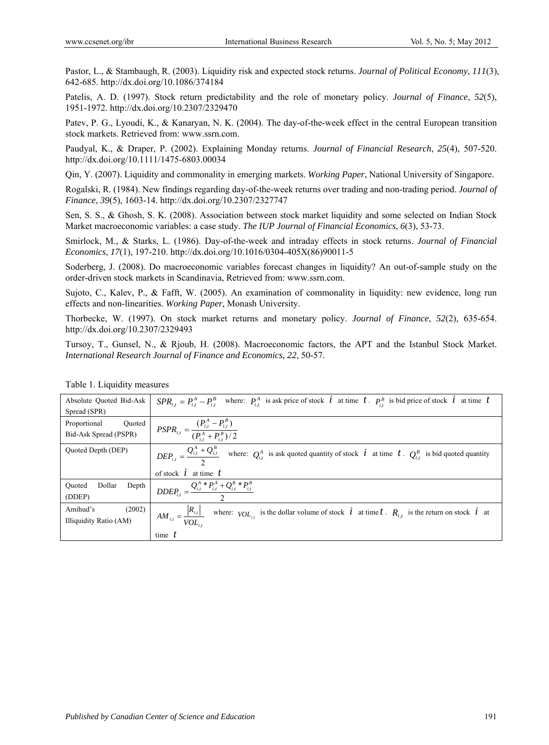Pastor, L., & Stambaugh, R. (2003). Liquidity risk and expected stock returns. *Journal of Political Economy*, *111*(3), 642-685. http://dx.doi.org/10.1086/374184

Patelis, A. D. (1997). Stock return predictability and the role of monetary policy. *Journal of Finance*, *52*(5), 1951-1972. http://dx.doi.org/10.2307/2329470

Patev, P. G., Lyoudi, K., & Kanaryan, N. K. (2004). The day-of-the-week effect in the central European transition stock markets. Retrieved from: www.ssrn.com.

Paudyal, K., & Draper, P. (2002). Explaining Monday returns. *Journal of Financial Research*, *25*(4), 507-520. http://dx.doi.org/10.1111/1475-6803.00034

Qin, Y. (2007). Liquidity and commonality in emerging markets. *Working Paper*, National University of Singapore.

Rogalski, R. (1984). New findings regarding day-of-the-week returns over trading and non-trading period. *Journal of Finance*, *39*(5), 1603-14. http://dx.doi.org/10.2307/2327747

Sen, S. S., & Ghosh, S. K. (2008). Association between stock market liquidity and some selected on Indian Stock Market macroeconomic variables: a case study. *The IUP Journal of Financial Economics*, *6*(3), 53-73.

Smirlock, M., & Starks, L. (1986). Day-of-the-week and intraday effects in stock returns. *Journal of Financial Economics*, *17*(1), 197-210. http://dx.doi.org/10.1016/0304-405X(86)90011-5

Soderberg, J. (2008). Do macroeconomic variables forecast changes in liquidity? An out-of-sample study on the order-driven stock markets in Scandinavia, Retrieved from: www.ssrn.com.

Sujoto, C., Kalev, P., & Fafft, W. (2005). An examination of commonality in liquidity: new evidence, long run effects and non-linearities. *Working Paper*, Monash University.

Thorbecke, W. (1997). On stock market returns and monetary policy. *Journal of Finance*, *52*(2), 635-654. http://dx.doi.org/10.2307/2329493

Tursoy, T., Gunsel, N., & Rjoub, H. (2008). Macroeconomic factors, the APT and the Istanbul Stock Market. *International Research Journal of Finance and Economics*, *22*, 50-57.

| Absolute Quoted Bid-Ask<br>Spread (SPR)         | $SPR_{i,t} = P_{i,t}^A - P_{i,t}^B$ where: $P_{i,t}^A$ is ask price of stock $\vec{l}$ at time $\vec{l}$ . $P_{i,t}^B$ is bid price of stock $\vec{l}$ at time $\vec{l}$                                    |
|-------------------------------------------------|-------------------------------------------------------------------------------------------------------------------------------------------------------------------------------------------------------------|
| Ouoted<br>Proportional<br>Bid-Ask Spread (PSPR) | $\frac{1}{PSPR_{i,t}} = \frac{(P_{i,t}^A - P_{i,t}^B)}{(P_{i,t}^A + P_{i,t}^B)/2}$                                                                                                                          |
| Quoted Depth (DEP)                              | $DEP_{i,t} = \frac{Q_{i,t}^A + Q_{i,t}^B}{2}$ where: $Q_{i,t}^A$ is ask quoted quantity of stock $i$ at time $t$ . $Q_{i,t}^B$ is bid quoted quantity<br>of stock $\boldsymbol{i}$ at time $\boldsymbol{t}$ |
| Depth<br>Quoted<br>Dollar<br>(DDEP)             | $\label{eq:2} DDEP_{i,t} = \frac{Q_{i,t}^{A} * P_{i,t}^{A} + Q_{i,t}^{B} * P_{i,t}^{B}}{P_{i,t}^{B}}$                                                                                                       |
| (2002)<br>Amihud's<br>Illiquidity Ratio (AM)    | $AM_{i,t} = \frac{\left R_{i,t}\right }{VOL_{i,t}}$<br>where: $VOL_{i}$ is the dollar volume of stock $\boldsymbol{i}$ at time $\boldsymbol{t}$ . $R_{i,t}$ is the return on stock $\boldsymbol{i}$ at      |
|                                                 | time $t$                                                                                                                                                                                                    |

Table 1. Liquidity measures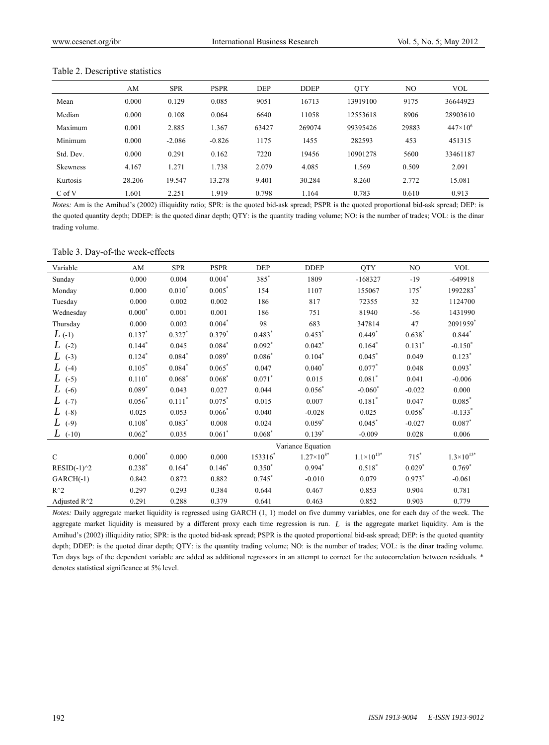## Table 2. Descriptive statistics

|                 | AM     | <b>SPR</b> | <b>PSPR</b> | <b>DEP</b> | <b>DDEP</b> | <b>QTY</b> | N <sub>O</sub> | <b>VOL</b>          |
|-----------------|--------|------------|-------------|------------|-------------|------------|----------------|---------------------|
| Mean            | 0.000  | 0.129      | 0.085       | 9051       | 16713       | 13919100   | 9175           | 36644923            |
| Median          | 0.000  | 0.108      | 0.064       | 6640       | 11058       | 12553618   | 8906           | 28903610            |
| Maximum         | 0.001  | 2.885      | 1.367       | 63427      | 269074      | 99395426   | 29883          | $447 \times 10^{6}$ |
| Minimum         | 0.000  | $-2.086$   | $-0.826$    | 1175       | 1455        | 282593     | 453            | 451315              |
| Std. Dev.       | 0.000  | 0.291      | 0.162       | 7220       | 19456       | 10901278   | 5600           | 33461187            |
| <b>Skewness</b> | 4.167  | 1.271      | 1.738       | 2.079      | 4.085       | 1.569      | 0.509          | 2.091               |
| Kurtosis        | 28.206 | 19.547     | 13.278      | 9.401      | 30.284      | 8.260      | 2.772          | 15.081              |
| CofV            | 1.601  | 2.251      | .919        | 0.798      | 1.164       | 0.783      | 0.610          | 0.913               |

*Notes:* Am is the Amihud's (2002) illiquidity ratio; SPR: is the quoted bid-ask spread; PSPR is the quoted proportional bid-ask spread; DEP: is the quoted quantity depth; DDEP: is the quoted dinar depth; QTY: is the quantity trading volume; NO: is the number of trades; VOL: is the dinar trading volume.

## Table 3. Day-of-the week-effects

| Variable      | AM           | <b>SPR</b> | <b>PSPR</b>          | <b>DEP</b>           | <b>DDEP</b>          | <b>OTY</b>            | NO       | <b>VOL</b>            |
|---------------|--------------|------------|----------------------|----------------------|----------------------|-----------------------|----------|-----------------------|
| Sunday        | 0.000        | 0.004      | $0.004*$             | 385*                 | 1809                 | $-168327$             | $-19$    | $-649918$             |
| Monday        | 0.000        | $0.010*$   | $0.005*$             | 154                  | 1107                 | 155067                | $175*$   | 1992283*              |
| Tuesday       | 0.000        | 0.002      | 0.002                | 186                  | 817                  | 72355                 | 32       | 1124700               |
| Wednesday     | $0.000*$     | 0.001      | 0.001                | 186                  | 751                  | 81940                 | $-56$    | 1431990               |
| Thursday      | 0.000        | 0.002      | $0.004*$             | 98                   | 683                  | 347814                | 47       | 2091959*              |
| $L$ (-1)      | $0.137*$     | $0.327*$   | $0.379*$             | $0.483*$             | $0.453*$             | $0.449*$              | $0.638*$ | $0.844*$              |
| L<br>$(-2)$   | $0.144*$     | 0.045      | $0.084*$             | $0.092*$             | $0.042$ <sup>*</sup> | $0.164*$              | $0.131*$ | $-0.150*$             |
| $L$ (-3)      | $0.124*$     | $0.084*$   | $0.089*$             | $0.086*$             | $0.104*$             | 0.045                 | 0.049    | $0.123*$              |
| L<br>$(-4)$   | $0.105*$     | $0.084*$   | $0.065*$             | 0.047                | $0.040*$             | $0.077$ *             | 0.048    | $0.093*$              |
| L<br>$(-5)$   | $0.110*$     | $0.068*$   | $0.068*$             | $0.071$ <sup>*</sup> | 0.015                | $0.081$ <sup>*</sup>  | 0.041    | $-0.006$              |
| L<br>$(-6)$   | $0.089*$     | 0.043      | 0.027                | 0.044                | $0.056*$             | $-0.060*$             | $-0.022$ | 0.000                 |
| L<br>$(-7)$   | $0.056*$     | $0.111*$   | $0.075*$             | 0.015                | 0.007                | $0.181*$              | 0.047    | $0.085*$              |
| L<br>$(-8)$   | 0.025        | 0.053      | $0.066*$             | 0.040                | $-0.028$             | 0.025                 | $0.058*$ | $-0.133*$             |
| L<br>$(-9)$   | $0.108*$     | $0.083*$   | 0.008                | 0.024                | $0.059*$             | $0.045$ <sup>*</sup>  | $-0.027$ | $0.087*$              |
| L<br>$(-10)$  | $0.062*$     | 0.035      | $0.061$ <sup>*</sup> | $0.068*$             | $0.139*$             | $-0.009$              | 0.028    | 0.006                 |
|               |              |            |                      |                      | Variance Equation    |                       |          |                       |
| $\mathcal{C}$ | $0.000^\ast$ | 0.000      | 0.000                | 153316*              | $1.27\times10^{8*}$  | $1.1 \times 10^{13*}$ | $715*$   | $1.3 \times 10^{13*}$ |
| $RESID(-1)^2$ | $0.238*$     | $0.164*$   | $0.146*$             | $0.350*$             | $0.994*$             | $0.518*$              | $0.029*$ | $0.769*$              |
| $GARCH(-1)$   | 0.842        | 0.872      | 0.882                | $0.745*$             | $-0.010$             | 0.079                 | $0.973*$ | $-0.061$              |
| $R^2$         | 0.297        | 0.293      | 0.384                | 0.644                | 0.467                | 0.853                 | 0.904    | 0.781                 |
| Adjusted R^2  | 0.291        | 0.288      | 0.379                | 0.641                | 0.463                | 0.852                 | 0.903    | 0.779                 |

*Notes:* Daily aggregate market liquidity is regressed using GARCH (1, 1) model on five dummy variables, one for each day of the week. The aggregate market liquidity is measured by a different proxy each time regression is run. *L* is the aggregate market liquidity. Am is the Amihud's (2002) illiquidity ratio; SPR: is the quoted bid-ask spread; PSPR is the quoted proportional bid-ask spread; DEP: is the quoted quantity depth; DDEP: is the quoted dinar depth; QTY: is the quantity trading volume; NO: is the number of trades; VOL: is the dinar trading volume. Ten days lags of the dependent variable are added as additional regressors in an attempt to correct for the autocorrelation between residuals. \* denotes statistical significance at 5% level.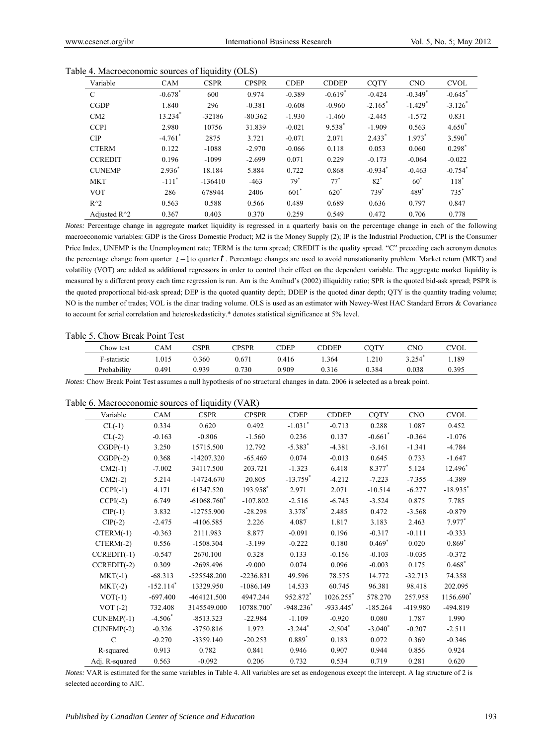| Variable       | <b>CAM</b>            | <b>CSPR</b> | <b>CPSPR</b> | <b>CDEP</b> | <b>CDDEP</b>          | <b>COTY</b>           | <b>CNO</b>            | <b>CVOL</b>           |
|----------------|-----------------------|-------------|--------------|-------------|-----------------------|-----------------------|-----------------------|-----------------------|
| C              | $-0.678$ *            | 600         | 0.974        | $-0.389$    | $-0.619$ <sup>*</sup> | $-0.424$              | $-0.349$ *            | $-0.645$              |
| <b>CGDP</b>    | 1.840                 | 296         | $-0.381$     | $-0.608$    | $-0.960$              | $-2.165$ <sup>*</sup> | $-1.429$ <sup>*</sup> | $-3.126$ <sup>*</sup> |
| CM2            | 13.234                | $-32186$    | $-80.362$    | $-1.930$    | $-1.460$              | $-2.445$              | $-1.572$              | 0.831                 |
| <b>CCPI</b>    | 2.980                 | 10756       | 31.839       | $-0.021$    | 9.538*                | $-1.909$              | 0.563                 | $4.650*$              |
| CIP            | $-4.761$ <sup>*</sup> | 2875        | 3.721        | $-0.071$    | 2.071                 | $2.433*$              | 1.973*                | $3.590*$              |
| <b>CTERM</b>   | 0.122                 | $-1088$     | $-2.970$     | $-0.066$    | 0.118                 | 0.053                 | 0.060                 | $0.298^*$             |
| <b>CCREDIT</b> | 0.196                 | $-1099$     | $-2.699$     | 0.071       | 0.229                 | $-0.173$              | $-0.064$              | $-0.022$              |
| <b>CUNEMP</b>  | $2.936*$              | 18.184      | 5.884        | 0.722       | 0.868                 | $-0.934$ <sup>*</sup> | $-0.463$              | $-0.754$ <sup>*</sup> |
| <b>MKT</b>     | $-111$ <sup>*</sup>   | $-136410$   | $-463$       | $79*$       | $77*$                 | $82^*$                | $60^*$                | $118*$                |
| <b>VOT</b>     | 286                   | 678944      | 2406         | $601*$      | $620^*$               | $739*$                | 489*                  | $735^*$               |
| $R^2$          | 0.563                 | 0.588       | 0.566        | 0.489       | 0.689                 | 0.636                 | 0.797                 | 0.847                 |
| Adjusted $R^2$ | 0.367                 | 0.403       | 0.370        | 0.259       | 0.549                 | 0.472                 | 0.706                 | 0.778                 |

Table 4. Macroeconomic sources of liquidity (OLS)

*Notes:* Percentage change in aggregate market liquidity is regressed in a quarterly basis on the percentage change in each of the following macroeconomic variables: GDP is the Gross Domestic Product; M2 is the Money Supply (2); IP is the Industrial Production, CPI is the Consumer Price Index, UNEMP is the Unemployment rate; TERM is the term spread; CREDIT is the quality spread. "C" preceding each acronym denotes the percentage change from quarter  $t - 1$  to quarter  $\hat{t}$ . Percentage changes are used to avoid nonstationarity problem. Market return (MKT) and volatility (VOT) are added as additional regressors in order to control their effect on the dependent variable. The aggregate market liquidity is measured by a different proxy each time regression is run. Am is the Amihud's (2002) illiquidity ratio; SPR is the quoted bid-ask spread; PSPR is the quoted proportional bid-ask spread; DEP is the quoted quantity depth; DDEP is the quoted dinar depth; QTY is the quantity trading volume; NO is the number of trades; VOL is the dinar trading volume. OLS is used as an estimator with Newey-West HAC Standard Errors & Covariance to account for serial correlation and heteroskedasticity.\* denotes statistical significance at 5% level.

#### Table 5. Chow Break Point Test

| Chow test   | CAM   | $^\sim$ SPR | <b>PSPR</b> | $\mathbb C\mathrm{DEP}$ | CDDEP | COTY  | CNO              | $\gamma$ vol |
|-------------|-------|-------------|-------------|-------------------------|-------|-------|------------------|--------------|
| F-statistic | .015  | 0.360       | 0.671       | 0.416                   | .364  | .210  | 3.254 $^{\circ}$ | 189          |
| Probability | 0.491 | 0.939       | 0.730       | ).909                   | 0.316 | 0.384 | 0.038            | 0.395        |

*Notes:* Chow Break Point Test assumes a null hypothesis of no structural changes in data. 2006 is selected as a break point.

| Table 6. Macroeconomic sources of liquidity (VAR) |  |  |
|---------------------------------------------------|--|--|
|                                                   |  |  |

| $\sigma$ . Macrocconomic sources or infigure $\mathbf{y}$ ( $\mathbf{y}$ and |                         |                           |              |                         |                         |                       |            |                        |  |  |
|------------------------------------------------------------------------------|-------------------------|---------------------------|--------------|-------------------------|-------------------------|-----------------------|------------|------------------------|--|--|
| Variable                                                                     | CAM                     | <b>CSPR</b>               | <b>CPSPR</b> | <b>CDEP</b>             | <b>CDDEP</b>            | <b>CQTY</b>           | <b>CNO</b> | <b>CVOL</b>            |  |  |
| $CL(-1)$                                                                     | 0.334                   | 0.620                     | 0.492        | $-1.031$ <sup>*</sup>   | $-0.713$                | 0.288                 | 1.087      | 0.452                  |  |  |
| $CL(-2)$                                                                     | $-0.163$                | $-0.806$                  | $-1.560$     | 0.236                   | 0.137                   | $-0.661$ <sup>*</sup> | $-0.364$   | $-1.076$               |  |  |
| $CGDP(-1)$                                                                   | 3.250                   | 15715.500                 | 12.792       | $-5.383*$               | $-4.381$                | $-3.161$              | $-1.341$   | $-4.784$               |  |  |
| $CGDP(-2)$                                                                   | 0.368                   | $-14207.320$              | $-65.469$    | 0.074                   | $-0.013$                | 0.645                 | 0.733      | $-1.647$               |  |  |
| $CM2(-1)$                                                                    | $-7.002$                | 34117.500                 | 203.721      | $-1.323$                | 6.418                   | $8.377*$              | 5.124      | 12.496*                |  |  |
| $CM2(-2)$                                                                    | 5.214                   | $-14724.670$              | 20.805       | $-13.759*$              | $-4.212$                | $-7.223$              | $-7.355$   | $-4.389$               |  |  |
| $CCPI(-1)$                                                                   | 4.171                   | 61347.520                 | 193.958*     | 2.971                   | 2.071                   | $-10.514$             | $-6.277$   | $-18.935$ <sup>*</sup> |  |  |
| $CCPI(-2)$                                                                   | 6.749                   | $-61068.760$ <sup>*</sup> | $-107.802$   | $-2.516$                | $-6.745$                | $-3.524$              | 0.875      | 7.785                  |  |  |
| $CIP(-1)$                                                                    | 3.832                   | $-12755.900$              | $-28.298$    | $3.378*$                | 2.485                   | 0.472                 | $-3.568$   | $-0.879$               |  |  |
| $CIP(-2)$                                                                    | $-2.475$                | $-4106.585$               | 2.226        | 4.087                   | 1.817                   | 3.183                 | 2.463      | $7.977*$               |  |  |
| $CTERM(-1)$                                                                  | $-0.363$                | 2111.983                  | 8.877        | $-0.091$                | 0.196                   | $-0.317$              | $-0.111$   | $-0.333$               |  |  |
| $CTERM(-2)$                                                                  | 0.556                   | $-1508.304$               | $-3.199$     | $-0.222$                | 0.180                   | $0.469*$              | 0.020      | $0.869*$               |  |  |
| $CCREDIT(-1)$                                                                | $-0.547$                | 2670.100                  | 0.328        | 0.133                   | $-0.156$                | $-0.103$              | $-0.035$   | $-0.372$               |  |  |
| $CCREDIT(-2)$                                                                | 0.309                   | $-2698.496$               | $-9.000$     | 0.074                   | 0.096                   | $-0.003$              | 0.175      | $0.468*$               |  |  |
| $MKT(-1)$                                                                    | $-68.313$               | $-525548.200$             | $-2236.831$  | 49.596                  | 78.575                  | 14.772                | $-32.713$  | 74.358                 |  |  |
| $MKT(-2)$                                                                    | $-152.114$ <sup>*</sup> | 13329.950                 | $-1086.149$  | 14.533                  | 60.745                  | 96.381                | 98.418     | 202.095                |  |  |
| $VOT(-1)$                                                                    | $-697.400$              | $-464121.500$             | 4947.244     | 952.872*                | 1026.255*               | 578.270               | 257.958    | 1156.690               |  |  |
| $VOT$ (-2)                                                                   | 732.408                 | 3145549.000               | 10788.700*   | $-948.236$ <sup>*</sup> | $-933.445$ <sup>*</sup> | $-185.264$            | $-419.980$ | $-494.819$             |  |  |
| $CUNEMP(-1)$                                                                 | $-4.506*$               | $-8513.323$               | $-22.984$    | $-1.109$                | $-0.920$                | 0.080                 | 1.787      | 1.990                  |  |  |
| $CUNEMP(-2)$                                                                 | $-0.326$                | $-3750.816$               | 1.972        | $-3.244$ <sup>*</sup>   | $-2.504^*$              | $-3.040^*$            | $-0.207$   | $-2.511$               |  |  |
| $\mathcal{C}$                                                                | $-0.270$                | $-3359.140$               | $-20.253$    | $0.889^{*}$             | 0.183                   | 0.072                 | 0.369      | $-0.346$               |  |  |
| R-squared                                                                    | 0.913                   | 0.782                     | 0.841        | 0.946                   | 0.907                   | 0.944                 | 0.856      | 0.924                  |  |  |
| Adi. R-squared                                                               | 0.563                   | $-0.092$                  | 0.206        | 0.732                   | 0.534                   | 0.719                 | 0.281      | 0.620                  |  |  |

*Notes:* VAR is estimated for the same variables in Table 4. All variables are set as endogenous except the intercept. A lag structure of 2 is selected according to AIC.